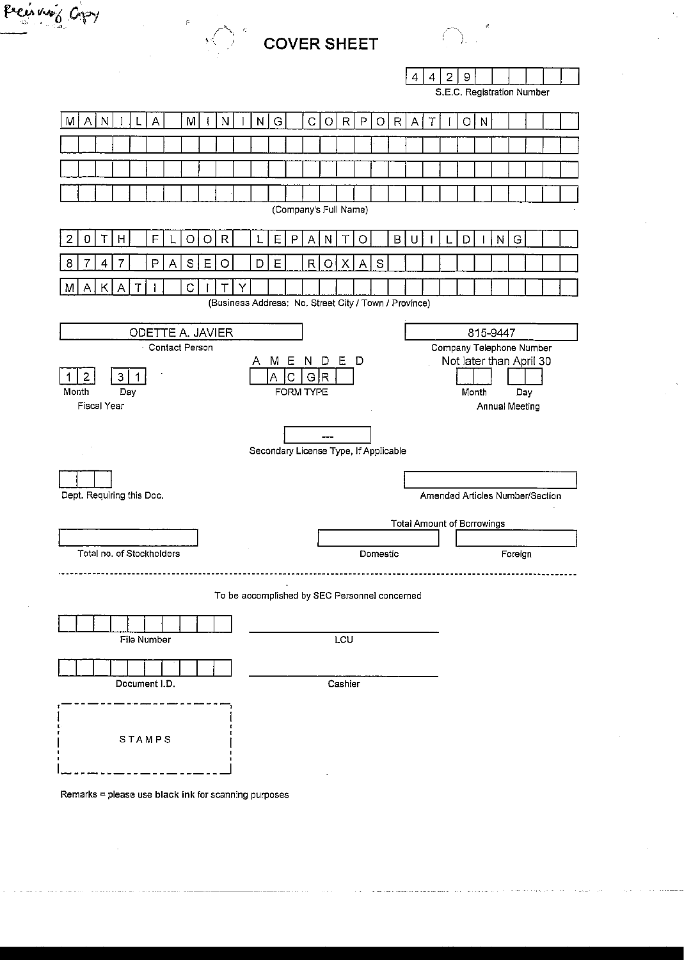| $M_{\odot}$ COVER SHEET |
|-------------------------|
|                         |

 $\frac{1}{4} \frac{d^2}{dt^2}$ 

Pecuring Copy

| $\mathbf{A}$ | -219 |  |  |  |
|--------------|------|--|--|--|

S.E.C. Registration Number

| M     | $\mathsf{A}$                                                 | N                  |     |                  | A                         |   | M |   | N            |   | N | G                                                     |    | C         | O                          | $\mathsf{R}$ | P | $\circ$       | $\mathsf{R}$ | A | Τ |   | O     | $\mathsf{N}$ |                          |         |  |  |
|-------|--------------------------------------------------------------|--------------------|-----|------------------|---------------------------|---|---|---|--------------|---|---|-------------------------------------------------------|----|-----------|----------------------------|--------------|---|---------------|--------------|---|---|---|-------|--------------|--------------------------|---------|--|--|
|       |                                                              |                    |     |                  |                           |   |   |   |              |   |   |                                                       |    |           |                            |              |   |               |              |   |   |   |       |              |                          |         |  |  |
|       |                                                              |                    |     |                  |                           |   |   |   |              |   |   |                                                       |    |           |                            |              |   |               |              |   |   |   |       |              |                          |         |  |  |
|       |                                                              |                    |     |                  |                           |   |   |   |              |   |   |                                                       |    |           |                            |              |   |               |              |   |   |   |       |              |                          |         |  |  |
|       | (Company's Full Name)                                        |                    |     |                  |                           |   |   |   |              |   |   |                                                       |    |           |                            |              |   |               |              |   |   |   |       |              |                          |         |  |  |
| 2     | $\mathbf 0$                                                  |                    | H   |                  | F                         |   | O | O | $\mathsf{R}$ |   |   | Ε                                                     | P  | A         | N                          |              | O |               | B            | U |   | L | D     |              | $\mathbf N$              | G       |  |  |
| 8     | 7                                                            | 4                  | 7   |                  | P                         | Α | S | E | $\circ$      |   | D | Ε                                                     |    | R         | O                          | X            | A | ${\mathbb S}$ |              |   |   |   |       |              |                          |         |  |  |
| M     | Α                                                            | Κ                  | Α   | Т                |                           |   | C |   | Т            | Υ |   |                                                       |    |           |                            |              |   |               |              |   |   |   |       |              |                          |         |  |  |
|       |                                                              |                    |     |                  |                           |   |   |   |              |   |   | (Business Address: No. Street City / Town / Province) |    |           |                            |              |   |               |              |   |   |   |       |              |                          |         |  |  |
|       |                                                              |                    |     |                  | ODETTE A. JAVIER          |   |   |   |              |   |   |                                                       |    |           |                            |              |   |               |              |   |   |   |       |              | 815-9447                 |         |  |  |
|       |                                                              |                    |     | $\ddot{\bullet}$ | <b>Contact Person</b>     |   |   |   |              |   |   |                                                       |    |           |                            |              |   |               |              |   |   |   |       |              | Company Telephone Number |         |  |  |
|       | 2                                                            |                    | 3   | 1                |                           |   |   |   |              |   |   | Α                                                     | IС | GR        | MENDED                     |              |   |               |              |   |   |   |       |              | Not later than April 30  |         |  |  |
| Month |                                                              |                    | Day |                  |                           |   |   |   |              |   |   |                                                       |    | FORM TYPE |                            |              |   |               |              |   |   |   | Month |              |                          | Day     |  |  |
|       |                                                              | <b>Fiscal Year</b> |     |                  |                           |   |   |   |              |   |   |                                                       |    |           |                            |              |   |               |              |   |   |   |       |              | Annual Meeting           |         |  |  |
|       |                                                              |                    |     |                  |                           |   |   |   |              |   |   |                                                       |    |           |                            |              |   |               |              |   |   |   |       |              |                          |         |  |  |
|       |                                                              |                    |     |                  |                           |   |   |   |              |   |   | Secondary License Type, If Applicable                 |    |           |                            |              |   |               |              |   |   |   |       |              |                          |         |  |  |
|       |                                                              |                    |     |                  |                           |   |   |   |              |   |   |                                                       |    |           |                            |              |   |               |              |   |   |   |       |              |                          |         |  |  |
|       | Dept. Requiring this Doc.<br>Amended Articles Number/Section |                    |     |                  |                           |   |   |   |              |   |   |                                                       |    |           |                            |              |   |               |              |   |   |   |       |              |                          |         |  |  |
|       |                                                              |                    |     |                  |                           |   |   |   |              |   |   |                                                       |    |           | Total Amount of Borrowings |              |   |               |              |   |   |   |       |              |                          |         |  |  |
|       |                                                              |                    |     |                  |                           |   |   |   |              |   |   |                                                       |    |           |                            |              |   |               |              |   |   |   |       |              |                          |         |  |  |
|       |                                                              |                    |     |                  | Total no. of Stockholders |   |   |   |              |   |   |                                                       |    |           |                            |              |   | Domestic      |              |   |   |   |       |              |                          | Foreign |  |  |
|       |                                                              |                    |     |                  |                           |   |   |   |              |   |   |                                                       |    |           |                            |              |   |               |              |   |   |   |       |              |                          |         |  |  |
|       |                                                              |                    |     |                  |                           |   |   |   |              |   |   | To be accomplished by SEC Personnel concerned         |    |           |                            |              |   |               |              |   |   |   |       |              |                          |         |  |  |
|       |                                                              |                    |     |                  |                           |   |   |   |              |   |   |                                                       |    |           |                            |              |   |               |              |   |   |   |       |              |                          |         |  |  |
|       |                                                              |                    |     |                  | File Number               |   |   |   |              |   |   |                                                       |    |           |                            | LCU          |   |               |              |   |   |   |       |              |                          |         |  |  |
|       |                                                              |                    |     |                  |                           |   |   |   |              |   |   |                                                       |    |           |                            |              |   |               |              |   |   |   |       |              |                          |         |  |  |
|       |                                                              |                    |     |                  | Document I.D.             |   |   |   |              |   |   |                                                       |    |           |                            | Cashier      |   |               |              |   |   |   |       |              |                          |         |  |  |
|       |                                                              |                    |     |                  |                           |   |   |   |              |   |   |                                                       |    |           |                            |              |   |               |              |   |   |   |       |              |                          |         |  |  |
|       |                                                              |                    |     |                  |                           |   |   |   |              |   |   |                                                       |    |           |                            |              |   |               |              |   |   |   |       |              |                          |         |  |  |
|       |                                                              |                    |     |                  | STAMPS                    |   |   |   |              |   |   |                                                       |    |           |                            |              |   |               |              |   |   |   |       |              |                          |         |  |  |

Remarks = please use black ink for scanning purposes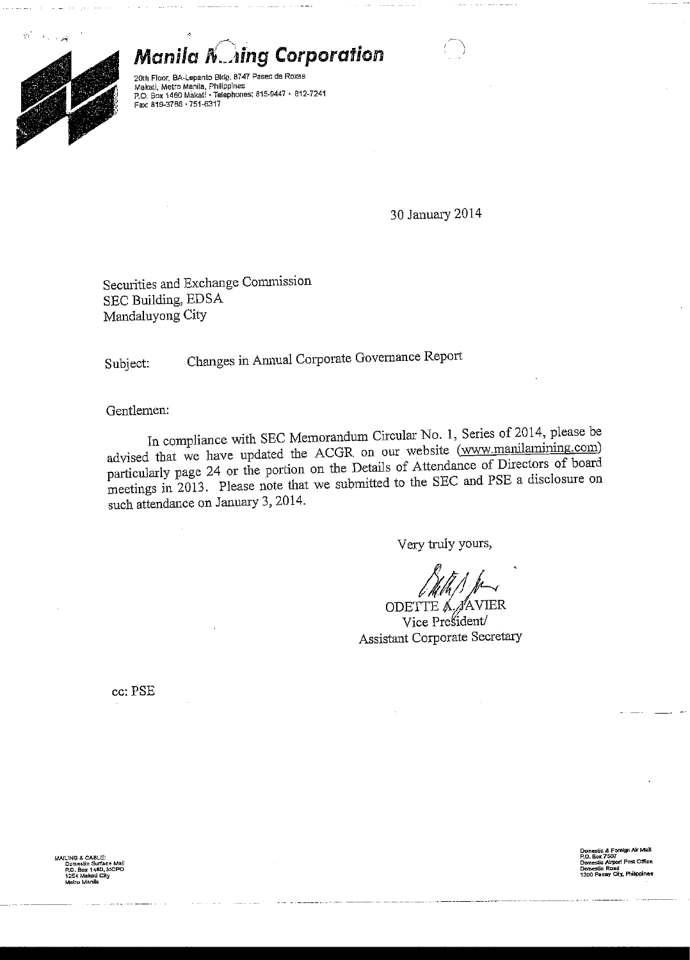$\dot{\wp}_i$ 



**Manila N. Aing Corporation** 

20th Floor, BA-Lepanto Bldg. 8747 Paseo de Roxas Makati, Metro Manila, Philippines<br>P.O. Box 1460 Makati • Telephones: 815-9447 • 812-7241<br>Fax: 819-3786 • 751-6317

30 January 2014

Securities and Exchange Commission SEC Building, EDSA Mandaluyong City

Changes in Annual Corporate Governance Report Subject:

Gentlemen:

In compliance with SEC Memorandum Circular No. 1, Series of 2014, please be advised that we have updated the ACGR on our website (www.manilamining.com) particularly page 24 or the portion on the Details of Attendance of Directors of board meetings in 2013. Please note that we submitted to the SEC and PSE a disclosure on such attendance on January 3, 2014.

Very truly yours,

ODETTE A. JAVIER Vice President/ Assistant Corporate Secretary

cc: PSE

estic & Foreign Air<br>Box 7507 aau<br>City, Philipi

LING & CABLE x 1460. A ati City